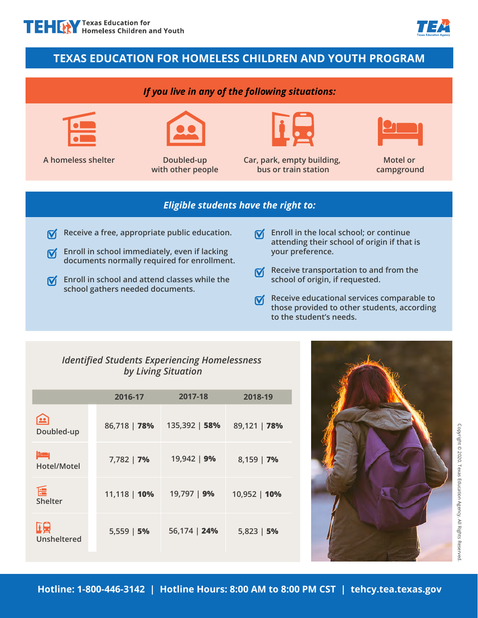# **TEXAS EDUCATION FOR HOMELESS CHILDREN AND YOUTH PROGRAM**

### *If you live in any of the following situations:*



**A homeless shelter Doubled-up** 



**with other people** 



**Car, park, empty building, bus or train station** 



**Motel or campground** 

#### *Eligible students have the right to:*

- **Receive a free, appropriate public education.**   $\overline{\mathsf{M}}$
- **K** Enroll in school immediately, even if lacking **documents normally required for enrollment.**
- $\mathbf{\nabla}$  Enroll in school and attend classes while the **school gathers needed documents.**
- **Enroll in the local school; or continue**   $\overline{\mathsf{M}}$ **attending their school of origin if that is your preference.**
- **Receive transportation to and from the**   $\overline{\mathsf{M}}$ **school of origin, if requested.**
- **Receive educational services comparable to**   $\overline{\mathsf{M}}$ **those provided to other students, according to the student's needs.**

## *Identified Students Experiencing Homelessness by Living Situation*

|                                | 2016-17      | 2017-18       | 2018-19      |
|--------------------------------|--------------|---------------|--------------|
| 22<br>Doubled-up               | 86,718   78% | 135,392   58% | 89,121   78% |
| بصع<br>Hotel/Motel             | 7,782   7%   | 19,942   9%   | $8,159$   7% |
| $\mathbf{E}$<br><b>Shelter</b> | 11,118   10% | 19,797   9%   | 10,952   10% |
| 嘎<br><b>Unsheltered</b>        | $5,559$   5% | 56,174   24%  | $5,823$   5% |